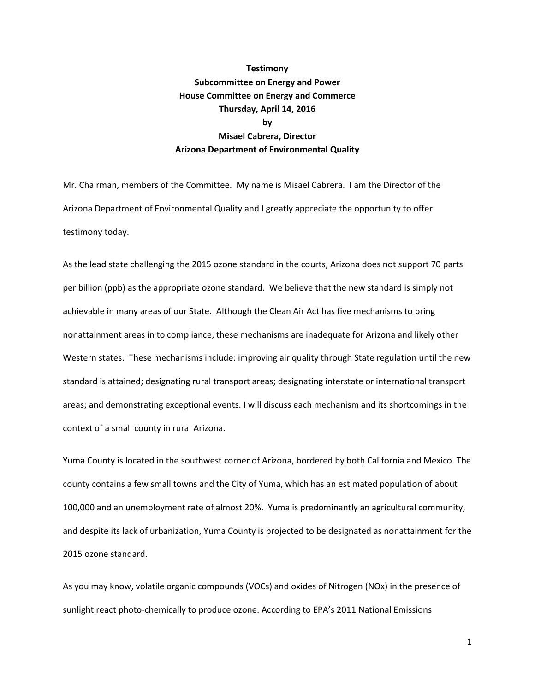## **Testimony Subcommittee on Energy and Power House Committee on Energy and Commerce Thursday, April 14, 2016 by Misael Cabrera, Director Arizona Department of Environmental Quality**

Mr. Chairman, members of the Committee. My name is Misael Cabrera. I am the Director of the Arizona Department of Environmental Quality and I greatly appreciate the opportunity to offer testimony today.

As the lead state challenging the 2015 ozone standard in the courts, Arizona does not support 70 parts per billion (ppb) as the appropriate ozone standard. We believe that the new standard is simply not achievable in many areas of our State. Although the Clean Air Act has five mechanisms to bring nonattainment areas in to compliance, these mechanisms are inadequate for Arizona and likely other Western states. These mechanisms include: improving air quality through State regulation until the new standard is attained; designating rural transport areas; designating interstate or international transport areas; and demonstrating exceptional events. I will discuss each mechanism and its shortcomings in the context of a small county in rural Arizona.

Yuma County is located in the southwest corner of Arizona, bordered by both California and Mexico. The county contains a few small towns and the City of Yuma, which has an estimated population of about 100,000 and an unemployment rate of almost 20%. Yuma is predominantly an agricultural community, and despite its lack of urbanization, Yuma County is projected to be designated as nonattainment for the 2015 ozone standard.

As you may know, volatile organic compounds (VOCs) and oxides of Nitrogen (NOx) in the presence of sunlight react photo-chemically to produce ozone. According to EPA's 2011 National Emissions

1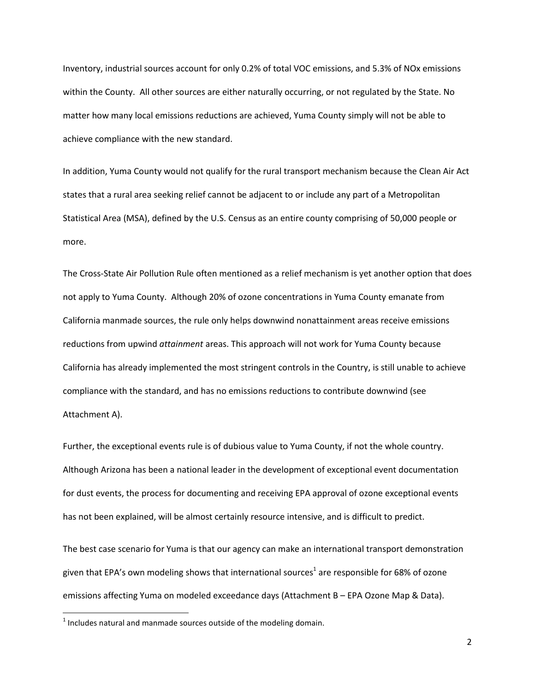Inventory, industrial sources account for only 0.2% of total VOC emissions, and 5.3% of NOx emissions within the County. All other sources are either naturally occurring, or not regulated by the State. No matter how many local emissions reductions are achieved, Yuma County simply will not be able to achieve compliance with the new standard.

In addition, Yuma County would not qualify for the rural transport mechanism because the Clean Air Act states that a rural area seeking relief cannot be adjacent to or include any part of a Metropolitan Statistical Area (MSA), defined by the U.S. Census as an entire county comprising of 50,000 people or more.

The Cross-State Air Pollution Rule often mentioned as a relief mechanism is yet another option that does not apply to Yuma County. Although 20% of ozone concentrations in Yuma County emanate from California manmade sources, the rule only helps downwind nonattainment areas receive emissions reductions from upwind *attainment* areas. This approach will not work for Yuma County because California has already implemented the most stringent controls in the Country, is still unable to achieve compliance with the standard, and has no emissions reductions to contribute downwind (see Attachment A).

Further, the exceptional events rule is of dubious value to Yuma County, if not the whole country. Although Arizona has been a national leader in the development of exceptional event documentation for dust events, the process for documenting and receiving EPA approval of ozone exceptional events has not been explained, will be almost certainly resource intensive, and is difficult to predict.

The best case scenario for Yuma is that our agency can make an international transport demonstration given that EPA's own modeling shows that international sources $^1$  are responsible for 68% of ozone emissions affecting Yuma on modeled exceedance days (Attachment B – EPA Ozone Map & Data).

 $\overline{\phantom{a}}$ 

 $<sup>1</sup>$  Includes natural and manmade sources outside of the modeling domain.</sup>